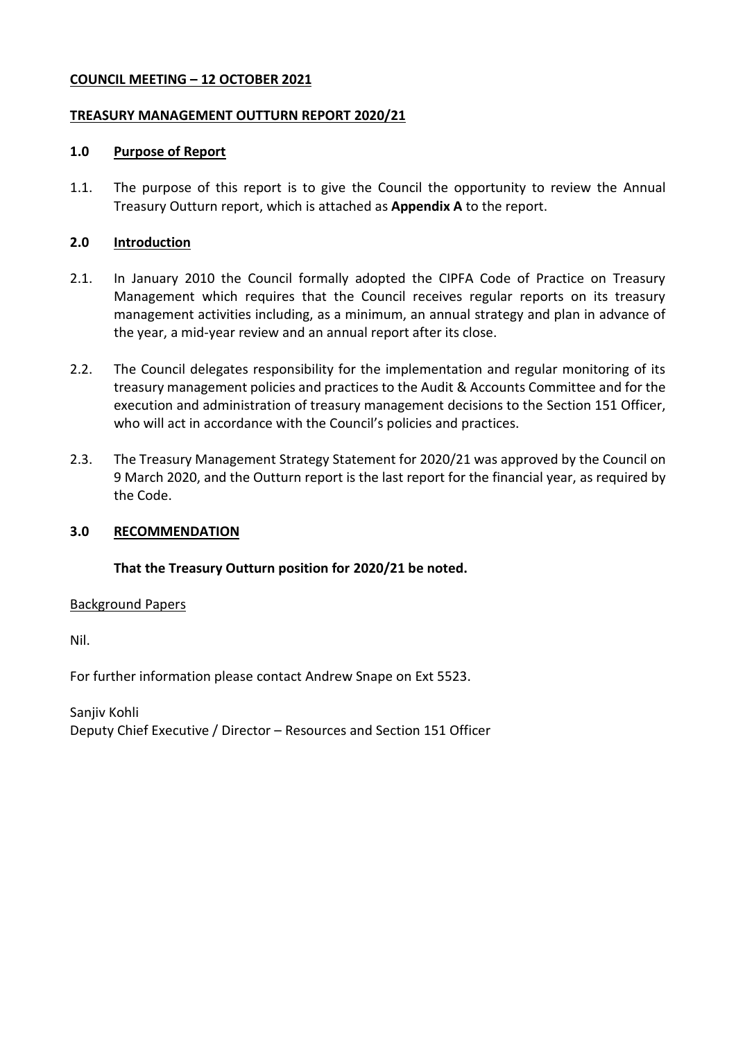### **COUNCIL MEETING – 12 OCTOBER 2021**

### **TREASURY MANAGEMENT OUTTURN REPORT 2020/21**

### **1.0 Purpose of Report**

1.1. The purpose of this report is to give the Council the opportunity to review the Annual Treasury Outturn report, which is attached as **Appendix A** to the report.

### **2.0 Introduction**

- 2.1. In January 2010 the Council formally adopted the CIPFA Code of Practice on Treasury Management which requires that the Council receives regular reports on its treasury management activities including, as a minimum, an annual strategy and plan in advance of the year, a mid-year review and an annual report after its close.
- 2.2. The Council delegates responsibility for the implementation and regular monitoring of its treasury management policies and practices to the Audit & Accounts Committee and for the execution and administration of treasury management decisions to the Section 151 Officer, who will act in accordance with the Council's policies and practices.
- 2.3. The Treasury Management Strategy Statement for 2020/21 was approved by the Council on 9 March 2020, and the Outturn report is the last report for the financial year, as required by the Code.

### **3.0 RECOMMENDATION**

### **That the Treasury Outturn position for 2020/21 be noted.**

Background Papers

Nil.

For further information please contact Andrew Snape on Ext 5523.

Sanjiv Kohli Deputy Chief Executive / Director – Resources and Section 151 Officer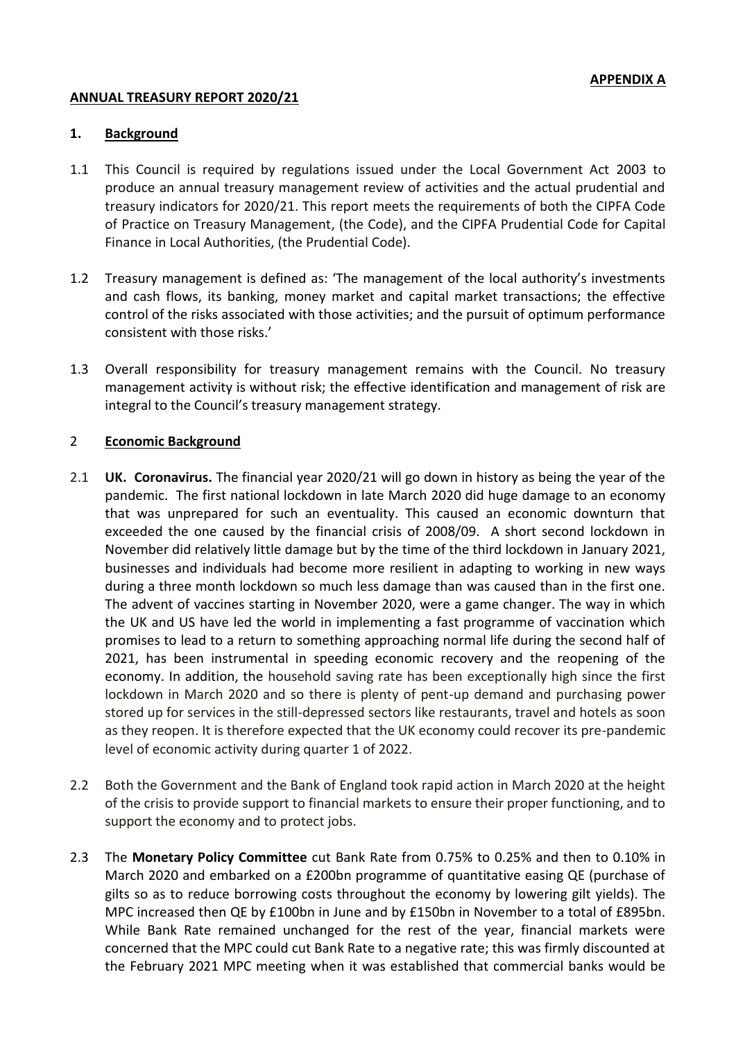### **ANNUAL TREASURY REPORT 2020/21**

### **1. Background**

- 1.1 This Council is required by regulations issued under the Local Government Act 2003 to produce an annual treasury management review of activities and the actual prudential and treasury indicators for 2020/21. This report meets the requirements of both the CIPFA Code of Practice on Treasury Management, (the Code), and the CIPFA Prudential Code for Capital Finance in Local Authorities, (the Prudential Code).
- 1.2 Treasury management is defined as: 'The management of the local authority's investments and cash flows, its banking, money market and capital market transactions; the effective control of the risks associated with those activities; and the pursuit of optimum performance consistent with those risks.'
- 1.3 Overall responsibility for treasury management remains with the Council. No treasury management activity is without risk; the effective identification and management of risk are integral to the Council's treasury management strategy.

# 2 **Economic Background**

- 2.1 **UK. Coronavirus.** The financial year 2020/21 will go down in history as being the year of the pandemic. The first national lockdown in late March 2020 did huge damage to an economy that was unprepared for such an eventuality. This caused an economic downturn that exceeded the one caused by the financial crisis of 2008/09. A short second lockdown in November did relatively little damage but by the time of the third lockdown in January 2021, businesses and individuals had become more resilient in adapting to working in new ways during a three month lockdown so much less damage than was caused than in the first one. The advent of vaccines starting in November 2020, were a game changer. The way in which the UK and US have led the world in implementing a fast programme of vaccination which promises to lead to a return to something approaching normal life during the second half of 2021, has been instrumental in speeding economic recovery and the reopening of the economy. In addition, the household saving rate has been exceptionally high since the first lockdown in March 2020 and so there is plenty of pent-up demand and purchasing power stored up for services in the still-depressed sectors like restaurants, travel and hotels as soon as they reopen. It is therefore expected that the UK economy could recover its pre-pandemic level of economic activity during quarter 1 of 2022.
- 2.2 Both the Government and the Bank of England took rapid action in March 2020 at the height of the crisis to provide support to financial markets to ensure their proper functioning, and to support the economy and to protect jobs.
- 2.3 The **Monetary Policy Committee** cut Bank Rate from 0.75% to 0.25% and then to 0.10% in March 2020 and embarked on a £200bn programme of quantitative easing QE (purchase of gilts so as to reduce borrowing costs throughout the economy by lowering gilt yields). The MPC increased then QE by £100bn in June and by £150bn in November to a total of £895bn. While Bank Rate remained unchanged for the rest of the year, financial markets were concerned that the MPC could cut Bank Rate to a negative rate; this was firmly discounted at the February 2021 MPC meeting when it was established that commercial banks would be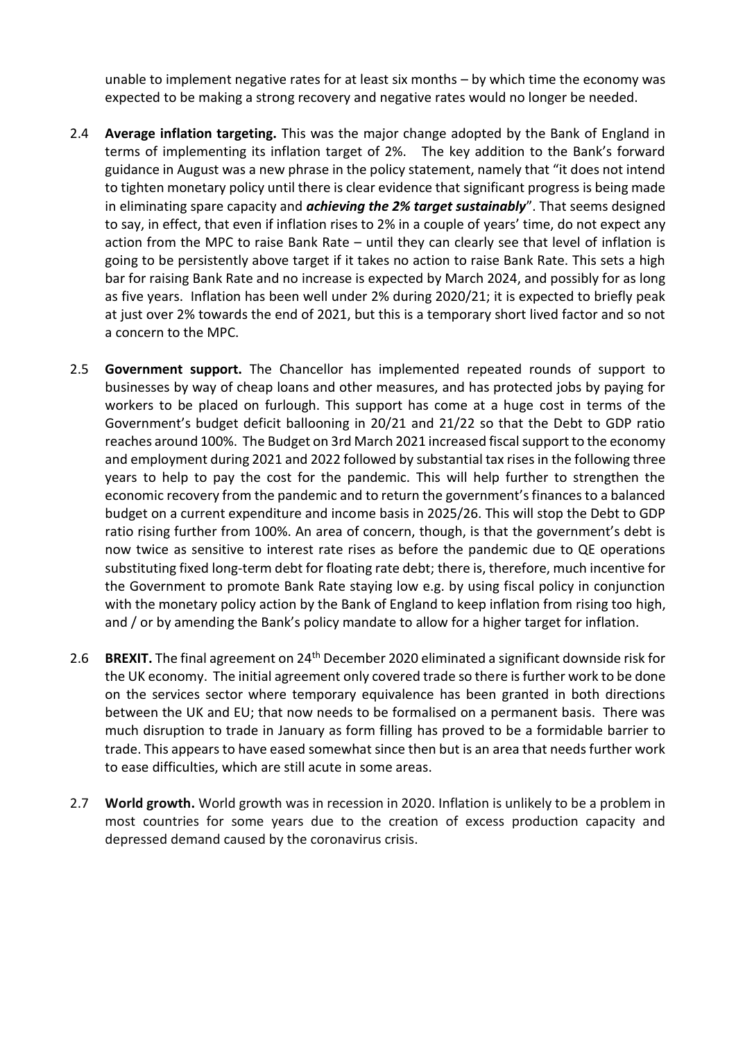unable to implement negative rates for at least six months – by which time the economy was expected to be making a strong recovery and negative rates would no longer be needed.

- 2.4 **Average inflation targeting.** This was the major change adopted by the Bank of England in terms of implementing its inflation target of 2%. The key addition to the Bank's forward guidance in August was a new phrase in the policy statement, namely that "it does not intend to tighten monetary policy until there is clear evidence that significant progress is being made in eliminating spare capacity and *achieving the 2% target sustainably*". That seems designed to say, in effect, that even if inflation rises to 2% in a couple of years' time, do not expect any action from the MPC to raise Bank Rate – until they can clearly see that level of inflation is going to be persistently above target if it takes no action to raise Bank Rate. This sets a high bar for raising Bank Rate and no increase is expected by March 2024, and possibly for as long as five years. Inflation has been well under 2% during 2020/21; it is expected to briefly peak at just over 2% towards the end of 2021, but this is a temporary short lived factor and so not a concern to the MPC.
- 2.5 **Government support.** The Chancellor has implemented repeated rounds of support to businesses by way of cheap loans and other measures, and has protected jobs by paying for workers to be placed on furlough. This support has come at a huge cost in terms of the Government's budget deficit ballooning in 20/21 and 21/22 so that the Debt to GDP ratio reaches around 100%. The Budget on 3rd March 2021 increased fiscal support to the economy and employment during 2021 and 2022 followed by substantial tax rises in the following three years to help to pay the cost for the pandemic. This will help further to strengthen the economic recovery from the pandemic and to return the government's finances to a balanced budget on a current expenditure and income basis in 2025/26. This will stop the Debt to GDP ratio rising further from 100%. An area of concern, though, is that the government's debt is now twice as sensitive to interest rate rises as before the pandemic due to QE operations substituting fixed long-term debt for floating rate debt; there is, therefore, much incentive for the Government to promote Bank Rate staying low e.g. by using fiscal policy in conjunction with the monetary policy action by the Bank of England to keep inflation from rising too high, and / or by amending the Bank's policy mandate to allow for a higher target for inflation.
- 2.6 **BREXIT.** The final agreement on 24<sup>th</sup> December 2020 eliminated a significant downside risk for the UK economy. The initial agreement only covered trade so there is further work to be done on the services sector where temporary equivalence has been granted in both directions between the UK and EU; that now needs to be formalised on a permanent basis. There was much disruption to trade in January as form filling has proved to be a formidable barrier to trade. This appears to have eased somewhat since then but is an area that needs further work to ease difficulties, which are still acute in some areas.
- 2.7 **World growth.** World growth was in recession in 2020. Inflation is unlikely to be a problem in most countries for some years due to the creation of excess production capacity and depressed demand caused by the coronavirus crisis.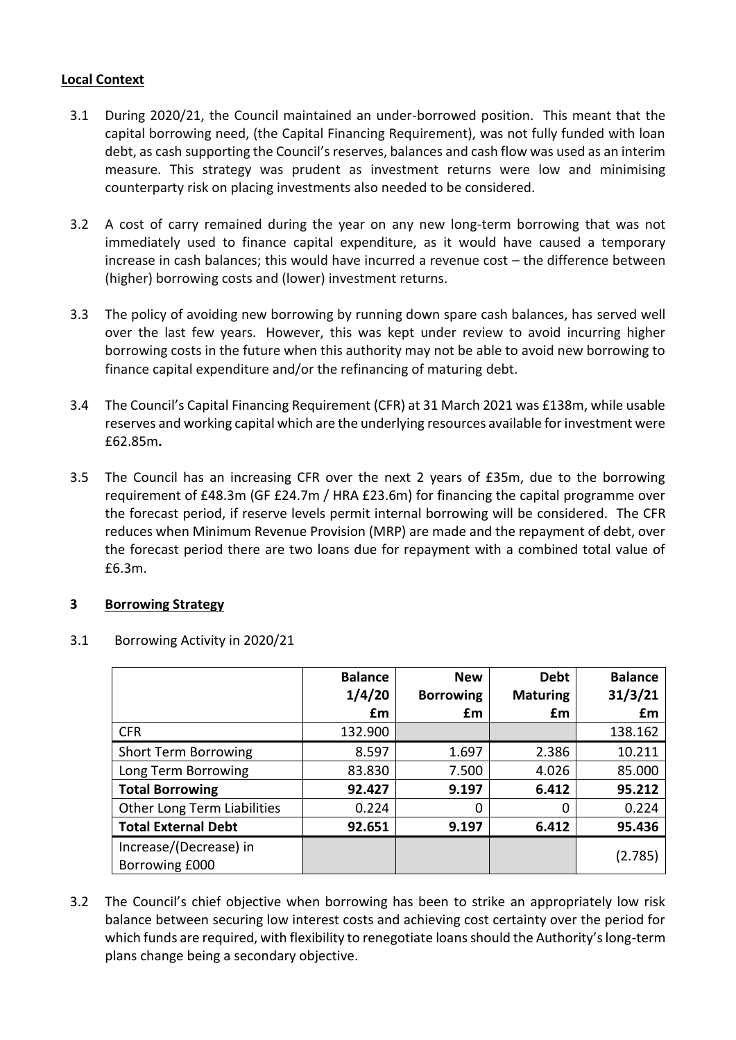### **Local Context**

- 3.1 During 2020/21, the Council maintained an under-borrowed position. This meant that the capital borrowing need, (the Capital Financing Requirement), was not fully funded with loan debt, as cash supporting the Council's reserves, balances and cash flow was used as an interim measure. This strategy was prudent as investment returns were low and minimising counterparty risk on placing investments also needed to be considered.
- 3.2 A cost of carry remained during the year on any new long-term borrowing that was not immediately used to finance capital expenditure, as it would have caused a temporary increase in cash balances; this would have incurred a revenue cost – the difference between (higher) borrowing costs and (lower) investment returns.
- 3.3 The policy of avoiding new borrowing by running down spare cash balances, has served well over the last few years. However, this was kept under review to avoid incurring higher borrowing costs in the future when this authority may not be able to avoid new borrowing to finance capital expenditure and/or the refinancing of maturing debt.
- 3.4 The Council's Capital Financing Requirement (CFR) at 31 March 2021 was £138m, while usable reserves and working capital which are the underlying resources available for investment were £62.85m**.**
- 3.5 The Council has an increasing CFR over the next 2 years of £35m, due to the borrowing requirement of £48.3m (GF £24.7m / HRA £23.6m) for financing the capital programme over the forecast period, if reserve levels permit internal borrowing will be considered. The CFR reduces when Minimum Revenue Provision (MRP) are made and the repayment of debt, over the forecast period there are two loans due for repayment with a combined total value of £6.3m.

# **3 Borrowing Strategy**

|                                          | <b>Balance</b><br>1/4/20 | <b>New</b><br><b>Borrowing</b> | <b>Debt</b><br><b>Maturing</b> | <b>Balance</b><br>31/3/21 |
|------------------------------------------|--------------------------|--------------------------------|--------------------------------|---------------------------|
|                                          | £m                       | £m                             | £m                             | £m                        |
| <b>CFR</b>                               | 132.900                  |                                |                                | 138.162                   |
| <b>Short Term Borrowing</b>              | 8.597                    | 1.697                          | 2.386                          | 10.211                    |
| Long Term Borrowing                      | 83.830                   | 7.500                          | 4.026                          | 85.000                    |
| <b>Total Borrowing</b>                   | 92.427                   | 9.197                          | 6.412                          | 95.212                    |
| Other Long Term Liabilities              | 0.224                    | 0                              | 0                              | 0.224                     |
| <b>Total External Debt</b>               | 92.651                   | 9.197                          | 6.412                          | 95.436                    |
| Increase/(Decrease) in<br>Borrowing £000 |                          |                                |                                | (2.785)                   |

### 3.1 Borrowing Activity in 2020/21

3.2 The Council's chief objective when borrowing has been to strike an appropriately low risk balance between securing low interest costs and achieving cost certainty over the period for which funds are required, with flexibility to renegotiate loans should the Authority's long-term plans change being a secondary objective.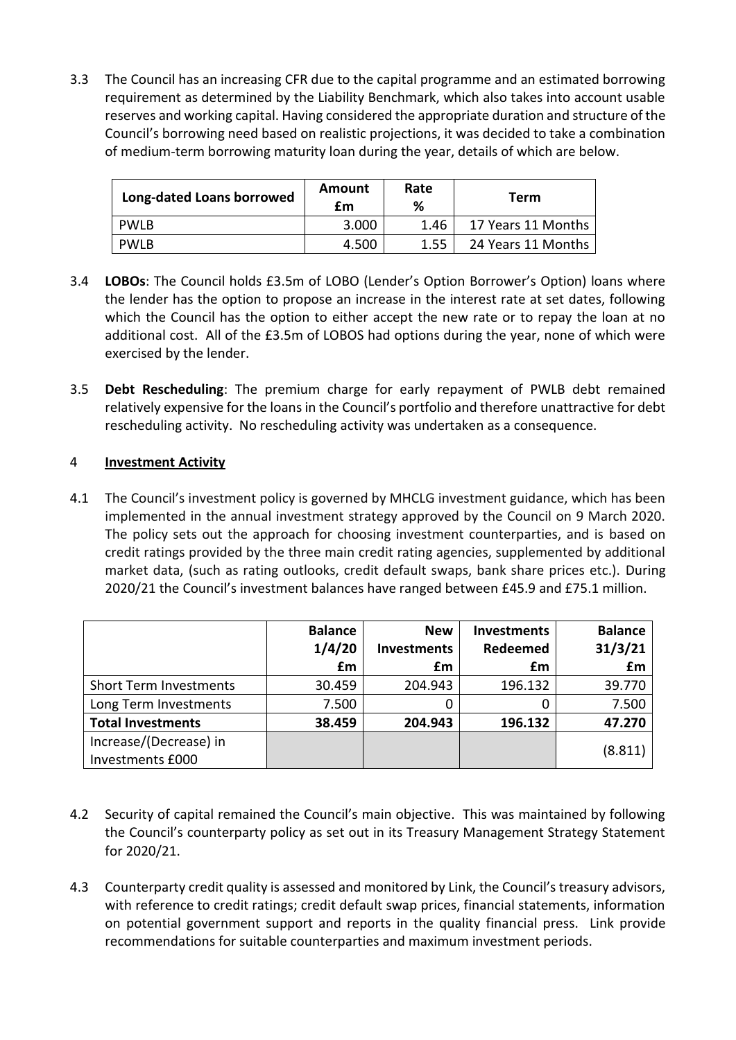3.3 The Council has an increasing CFR due to the capital programme and an estimated borrowing requirement as determined by the Liability Benchmark, which also takes into account usable reserves and working capital. Having considered the appropriate duration and structure of the Council's borrowing need based on realistic projections, it was decided to take a combination of medium-term borrowing maturity loan during the year, details of which are below.

| Long-dated Loans borrowed | Amount<br>£m | Rate<br>% | Term               |  |
|---------------------------|--------------|-----------|--------------------|--|
| PWLB                      | 3.000        | 1.46      | 17 Years 11 Months |  |
| PWLB                      | 4.500        | 1.55      | 24 Years 11 Months |  |

- 3.4 **LOBOs**: The Council holds £3.5m of LOBO (Lender's Option Borrower's Option) loans where the lender has the option to propose an increase in the interest rate at set dates, following which the Council has the option to either accept the new rate or to repay the loan at no additional cost. All of the £3.5m of LOBOS had options during the year, none of which were exercised by the lender.
- 3.5 **Debt Rescheduling**: The premium charge for early repayment of PWLB debt remained relatively expensive for the loans in the Council's portfolio and therefore unattractive for debt rescheduling activity. No rescheduling activity was undertaken as a consequence.

### 4 **Investment Activity**

4.1 The Council's investment policy is governed by MHCLG investment guidance, which has been implemented in the annual investment strategy approved by the Council on 9 March 2020. The policy sets out the approach for choosing investment counterparties, and is based on credit ratings provided by the three main credit rating agencies, supplemented by additional market data, (such as rating outlooks, credit default swaps, bank share prices etc.). During 2020/21 the Council's investment balances have ranged between £45.9 and £75.1 million.

|                               | <b>Balance</b><br>1/4/20 | <b>New</b><br><b>Investments</b> | <b>Investments</b><br>Redeemed | <b>Balance</b><br>31/3/21 |
|-------------------------------|--------------------------|----------------------------------|--------------------------------|---------------------------|
|                               | £m                       | £m                               | £m                             | £m                        |
| <b>Short Term Investments</b> | 30.459                   | 204.943                          | 196.132                        | 39.770                    |
| Long Term Investments         | 7.500                    | 0                                |                                | 7.500                     |
| <b>Total Investments</b>      | 38.459                   | 204.943                          | 196.132                        | 47.270                    |
| Increase/(Decrease) in        |                          |                                  |                                | (8.811)                   |
| Investments £000              |                          |                                  |                                |                           |

- 4.2 Security of capital remained the Council's main objective. This was maintained by following the Council's counterparty policy as set out in its Treasury Management Strategy Statement for 2020/21.
- 4.3 Counterparty credit quality is assessed and monitored by Link, the Council's treasury advisors, with reference to credit ratings; credit default swap prices, financial statements, information on potential government support and reports in the quality financial press. Link provide recommendations for suitable counterparties and maximum investment periods.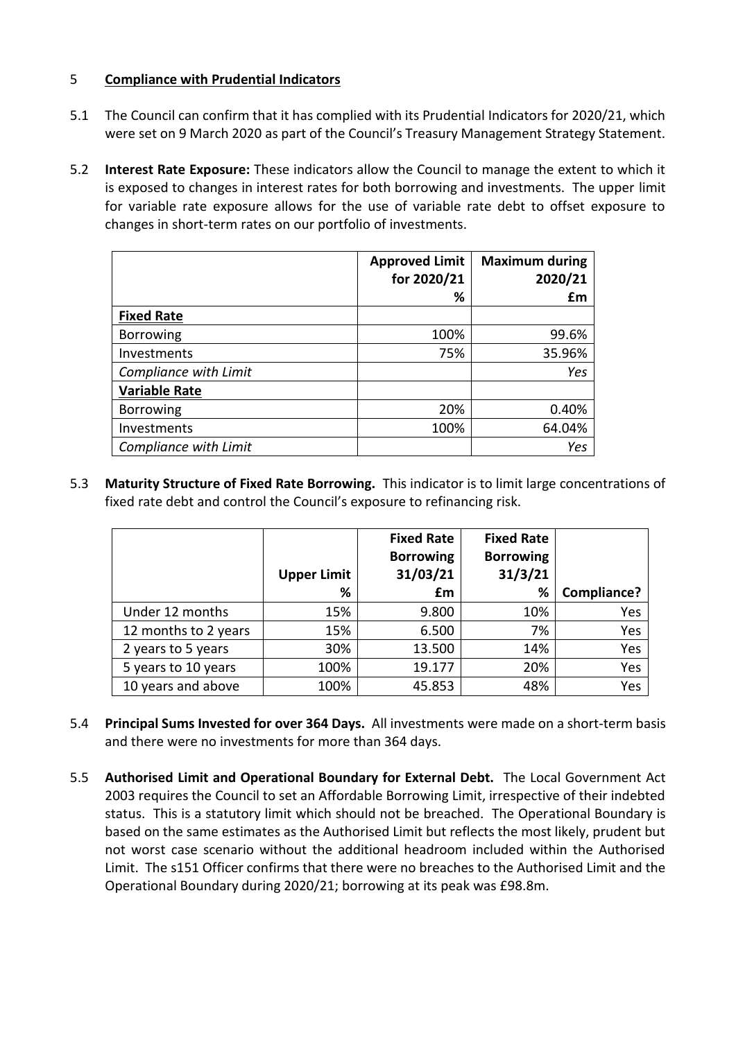## 5 **Compliance with Prudential Indicators**

- 5.1 The Council can confirm that it has complied with its Prudential Indicators for 2020/21, which were set on 9 March 2020 as part of the Council's Treasury Management Strategy Statement.
- 5.2 **Interest Rate Exposure:** These indicators allow the Council to manage the extent to which it is exposed to changes in interest rates for both borrowing and investments. The upper limit for variable rate exposure allows for the use of variable rate debt to offset exposure to changes in short-term rates on our portfolio of investments.

|                       | <b>Approved Limit</b><br>for 2020/21 | <b>Maximum during</b><br>2020/21 |
|-----------------------|--------------------------------------|----------------------------------|
|                       | %                                    | £m                               |
| <b>Fixed Rate</b>     |                                      |                                  |
| <b>Borrowing</b>      | 100%                                 | 99.6%                            |
| Investments           | 75%                                  | 35.96%                           |
| Compliance with Limit |                                      | Yes                              |
| <b>Variable Rate</b>  |                                      |                                  |
| <b>Borrowing</b>      | 20%                                  | 0.40%                            |
| Investments           | 100%                                 | 64.04%                           |
| Compliance with Limit |                                      | Yes                              |

5.3 **Maturity Structure of Fixed Rate Borrowing.** This indicator is to limit large concentrations of fixed rate debt and control the Council's exposure to refinancing risk.

|                      | <b>Upper Limit</b> | <b>Fixed Rate</b><br><b>Borrowing</b><br>31/03/21 | <b>Fixed Rate</b><br><b>Borrowing</b><br>31/3/21 |             |
|----------------------|--------------------|---------------------------------------------------|--------------------------------------------------|-------------|
|                      | %                  | £m                                                | %                                                | Compliance? |
| Under 12 months      | 15%                | 9.800                                             | 10%                                              | Yes         |
| 12 months to 2 years | 15%                | 6.500                                             | 7%                                               | Yes         |
| 2 years to 5 years   | 30%                | 13.500                                            | 14%                                              | Yes         |
| 5 years to 10 years  | 100%               | 19.177                                            | 20%                                              | Yes         |
| 10 years and above   | 100%               | 45.853                                            | 48%                                              | Yes         |

- 5.4 **Principal Sums Invested for over 364 Days.** All investments were made on a short-term basis and there were no investments for more than 364 days.
- 5.5 **Authorised Limit and Operational Boundary for External Debt.** The Local Government Act 2003 requires the Council to set an Affordable Borrowing Limit, irrespective of their indebted status. This is a statutory limit which should not be breached. The Operational Boundary is based on the same estimates as the Authorised Limit but reflects the most likely, prudent but not worst case scenario without the additional headroom included within the Authorised Limit. The s151 Officer confirms that there were no breaches to the Authorised Limit and the Operational Boundary during 2020/21; borrowing at its peak was £98.8m.